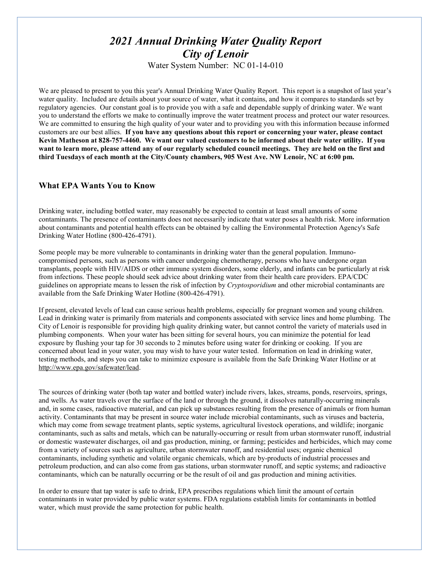# *2021 Annual Drinking Water Quality Report City of Lenoir*

Water System Number: NC 01-14-010

We are pleased to present to you this year's Annual Drinking Water Quality Report. This report is a snapshot of last year's water quality. Included are details about your source of water, what it contains, and how it compares to standards set by regulatory agencies. Our constant goal is to provide you with a safe and dependable supply of drinking water. We want you to understand the efforts we make to continually improve the water treatment process and protect our water resources. We are committed to ensuring the high quality of your water and to providing you with this information because informed customers are our best allies. **If you have any questions about this report or concerning your water, please contact Kevin Matheson at 828-757-4460. We want our valued customers to be informed about their water utility. If you want to learn more, please attend any of our regularly scheduled council meetings. They are held on the first and third Tuesdays of each month at the City/County chambers, 905 West Ave. NW Lenoir, NC at 6:00 pm.**

# **What EPA Wants You to Know**

Drinking water, including bottled water, may reasonably be expected to contain at least small amounts of some contaminants. The presence of contaminants does not necessarily indicate that water poses a health risk. More information about contaminants and potential health effects can be obtained by calling the Environmental Protection Agency's Safe Drinking Water Hotline (800-426-4791).

Some people may be more vulnerable to contaminants in drinking water than the general population. Immunocompromised persons, such as persons with cancer undergoing chemotherapy, persons who have undergone organ transplants, people with HIV/AIDS or other immune system disorders, some elderly, and infants can be particularly at risk from infections. These people should seek advice about drinking water from their health care providers. EPA/CDC guidelines on appropriate means to lessen the risk of infection by *Cryptosporidium* and other microbial contaminants are available from the Safe Drinking Water Hotline (800-426-4791).

If present, elevated levels of lead can cause serious health problems, especially for pregnant women and young children. Lead in drinking water is primarily from materials and components associated with service lines and home plumbing. The City of Lenoir is responsible for providing high quality drinking water, but cannot control the variety of materials used in plumbing components. When your water has been sitting for several hours, you can minimize the potential for lead exposure by flushing your tap for 30 seconds to 2 minutes before using water for drinking or cooking. If you are concerned about lead in your water, you may wish to have your water tested. Information on lead in drinking water, testing methods, and steps you can take to minimize exposure is available from the Safe Drinking Water Hotline or at [http://www.epa.gov/safewater/lead.](http://www.epa.gov/safewater/lead)

The sources of drinking water (both tap water and bottled water) include rivers, lakes, streams, ponds, reservoirs, springs, and wells. As water travels over the surface of the land or through the ground, it dissolves naturally-occurring minerals and, in some cases, radioactive material, and can pick up substances resulting from the presence of animals or from human activity. Contaminants that may be present in source water include microbial contaminants, such as viruses and bacteria, which may come from sewage treatment plants, septic systems, agricultural livestock operations, and wildlife; inorganic contaminants, such as salts and metals, which can be naturally-occurring or result from urban stormwater runoff, industrial or domestic wastewater discharges, oil and gas production, mining, or farming; pesticides and herbicides, which may come from a variety of sources such as agriculture, urban stormwater runoff, and residential uses; organic chemical contaminants, including synthetic and volatile organic chemicals, which are by-products of industrial processes and petroleum production, and can also come from gas stations, urban stormwater runoff, and septic systems; and radioactive contaminants, which can be naturally occurring or be the result of oil and gas production and mining activities.

In order to ensure that tap water is safe to drink, EPA prescribes regulations which limit the amount of certain contaminants in water provided by public water systems. FDA regulations establish limits for contaminants in bottled water, which must provide the same protection for public health.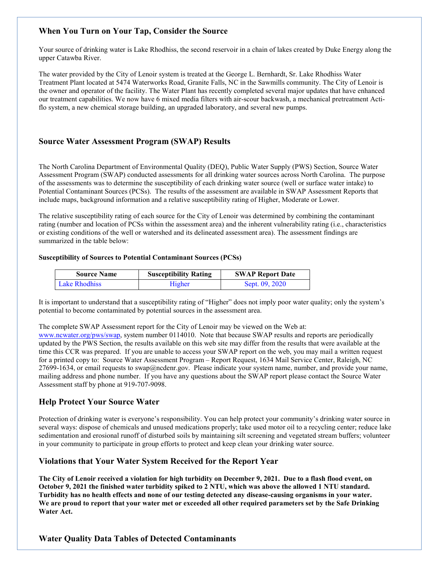# **When You Turn on Your Tap, Consider the Source**

Your source of drinking water is Lake Rhodhiss, the second reservoir in a chain of lakes created by Duke Energy along the upper Catawba River.

The water provided by the City of Lenoir system is treated at the George L. Bernhardt, Sr. Lake Rhodhiss Water Treatment Plant located at 5474 Waterworks Road, Granite Falls, NC in the Sawmills community. The City of Lenoir is the owner and operator of the facility. The Water Plant has recently completed several major updates that have enhanced our treatment capabilities. We now have 6 mixed media filters with air-scour backwash, a mechanical pretreatment Actiflo system, a new chemical storage building, an upgraded laboratory, and several new pumps.

# **Source Water Assessment Program (SWAP) Results**

The North Carolina Department of Environmental Quality (DEQ), Public Water Supply (PWS) Section, Source Water Assessment Program (SWAP) conducted assessments for all drinking water sources across North Carolina. The purpose of the assessments was to determine the susceptibility of each drinking water source (well or surface water intake) to Potential Contaminant Sources (PCSs). The results of the assessment are available in SWAP Assessment Reports that include maps, background information and a relative susceptibility rating of Higher, Moderate or Lower.

The relative susceptibility rating of each source for the City of Lenoir was determined by combining the contaminant rating (number and location of PCSs within the assessment area) and the inherent vulnerability rating (i.e., characteristics or existing conditions of the well or watershed and its delineated assessment area). The assessment findings are summarized in the table below:

## **Susceptibility of Sources to Potential Contaminant Sources (PCSs)**

| <b>Source Name</b> | <b>Susceptibility Rating</b> | <b>SWAP Report Date</b> |
|--------------------|------------------------------|-------------------------|
| Lake Rhodhiss      | Higher                       | Sept. 09, 2020          |

It is important to understand that a susceptibility rating of "Higher" does not imply poor water quality; only the system's potential to become contaminated by potential sources in the assessment area.

The complete SWAP Assessment report for the City of Lenoir may be viewed on the Web at:

[www.ncwater.org/pws/swap,](http://www.ncwater.org/pws/swap) system number 0114010. Note that because SWAP results and reports are periodically updated by the PWS Section, the results available on this web site may differ from the results that were available at the time this CCR was prepared. If you are unable to access your SWAP report on the web, you may mail a written request for a printed copy to: Source Water Assessment Program – Report Request, 1634 Mail Service Center, Raleigh, NC 27699-1634, or email requests to swap@ncdenr.gov. Please indicate your system name, number, and provide your name, mailing address and phone number. If you have any questions about the SWAP report please contact the Source Water Assessment staff by phone at 919-707-9098.

# **Help Protect Your Source Water**

Protection of drinking water is everyone's responsibility. You can help protect your community's drinking water source in several ways: dispose of chemicals and unused medications properly; take used motor oil to a recycling center; reduce lake sedimentation and erosional runoff of disturbed soils by maintaining silt screening and vegetated stream buffers; volunteer in your community to participate in group efforts to protect and keep clean your drinking water source.

# **Violations that Your Water System Received for the Report Year**

**The City of Lenoir received a violation for high turbidity on December 9, 2021. Due to a flash flood event, on October 9, 2021 the finished water turbidity spiked to 2 NTU, which was above the allowed 1 NTU standard. Turbidity has no health effects and none of our testing detected any disease-causing organisms in your water. We are proud to report that your water met or exceeded all other required parameters set by the Safe Drinking Water Act.**

# **Water Quality Data Tables of Detected Contaminants**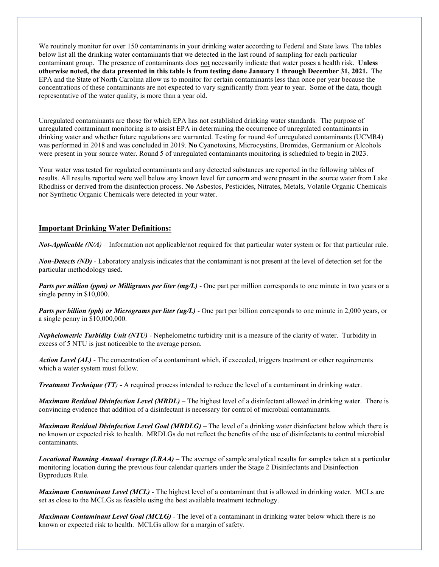We routinely monitor for over 150 contaminants in your drinking water according to Federal and State laws. The tables below list all the drinking water contaminants that we detected in the last round of sampling for each particular contaminant group. The presence of contaminants does not necessarily indicate that water poses a health risk. **Unless otherwise noted, the data presented in this table is from testing done January 1 through December 31, 2021.** The EPA and the State of North Carolina allow us to monitor for certain contaminants less than once per year because the concentrations of these contaminants are not expected to vary significantly from year to year. Some of the data, though representative of the water quality, is more than a year old.

Unregulated contaminants are those for which EPA has not established drinking water standards. The purpose of unregulated contaminant monitoring is to assist EPA in determining the occurrence of unregulated contaminants in drinking water and whether future regulations are warranted. Testing for round 4of unregulated contaminants (UCMR4) was performed in 2018 and was concluded in 2019. **No** Cyanotoxins, Microcystins, Bromides, Germanium or Alcohols were present in your source water. Round 5 of unregulated contaminants monitoring is scheduled to begin in 2023.

Your water was tested for regulated contaminants and any detected substances are reported in the following tables of results. All results reported were well below any known level for concern and were present in the source water from Lake Rhodhiss or derived from the disinfection process. **No** Asbestos, Pesticides, Nitrates, Metals, Volatile Organic Chemicals nor Synthetic Organic Chemicals were detected in your water.

## **Important Drinking Water Definitions:**

*Not-Applicable (N/A)* – Information not applicable/not required for that particular water system or for that particular rule.

*Non-Detects (ND)* - Laboratory analysis indicates that the contaminant is not present at the level of detection set for the particular methodology used.

*Parts per million (ppm) or Milligrams per liter (mg/L)* - One part per million corresponds to one minute in two years or a single penny in \$10,000.

*Parts per billion (ppb) or Micrograms per liter (ug/L)* - One part per billion corresponds to one minute in 2,000 years, or a single penny in \$10,000,000.

*Nephelometric Turbidity Unit (NTU)* - Nephelometric turbidity unit is a measure of the clarity of water. Turbidity in excess of 5 NTU is just noticeable to the average person.

*Action Level (AL) -* The concentration of a contaminant which, if exceeded, triggers treatment or other requirements which a water system must follow.

*Treatment Technique (TT)* **-** A required process intended to reduce the level of a contaminant in drinking water.

*Maximum Residual Disinfection Level (MRDL)* – The highest level of a disinfectant allowed in drinking water. There is convincing evidence that addition of a disinfectant is necessary for control of microbial contaminants.

*Maximum Residual Disinfection Level Goal (MRDLG)* – The level of a drinking water disinfectant below which there is no known or expected risk to health. MRDLGs do not reflect the benefits of the use of disinfectants to control microbial contaminants.

*Locational Running Annual Average (LRAA)* – The average of sample analytical results for samples taken at a particular monitoring location during the previous four calendar quarters under the Stage 2 Disinfectants and Disinfection Byproducts Rule.

*Maximum Contaminant Level (MCL)* - The highest level of a contaminant that is allowed in drinking water. MCLs are set as close to the MCLGs as feasible using the best available treatment technology.

*Maximum Contaminant Level Goal (MCLG)* - The level of a contaminant in drinking water below which there is no known or expected risk to health. MCLGs allow for a margin of safety.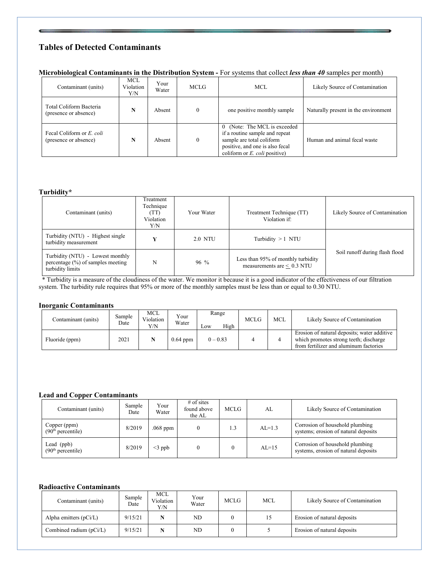# **Tables of Detected Contaminants**

## **Microbiological Contaminants in the Distribution System -** For systems that collect *less than 40* samples per month)

| Contaminant (units)                                | <b>MCL</b><br>Violation<br>Y/N | Your<br>Water | <b>MCLG</b> | MCL.                                                                                                                                                                                         | Likely Source of Contamination       |
|----------------------------------------------------|--------------------------------|---------------|-------------|----------------------------------------------------------------------------------------------------------------------------------------------------------------------------------------------|--------------------------------------|
| Total Coliform Bacteria<br>(presence or absence)   | N                              | Absent        | $\theta$    | one positive monthly sample                                                                                                                                                                  | Naturally present in the environment |
| Fecal Coliform or E. coli<br>(presence or absence) | N                              | Absent        | $\theta$    | (Note: The MCL is exceeded)<br>$\left( \right)$<br>if a routine sample and repeat<br>sample are total coliform<br>positive, and one is also fecal<br>coliform or $E$ , <i>coli</i> positive) | Human and animal fecal waste         |

### **Turbidity\***

| Contaminant (units)                                                                          | Treatment<br>Technique<br>(TT)<br>Violation<br>Y/N | Your Water | Treatment Technique (TT)<br>Violation if:                             | Likely Source of Contamination |
|----------------------------------------------------------------------------------------------|----------------------------------------------------|------------|-----------------------------------------------------------------------|--------------------------------|
| Turbidity (NTU) - Highest single<br>turbidity measurement                                    | v                                                  | 2.0 NTU    | Turbidity $>1$ NTU                                                    |                                |
| Turbidity (NTU) - Lowest monthly<br>percentage $(\%)$ of samples meeting<br>turbidity limits | N                                                  | $96\%$     | Less than 95% of monthly turbidity<br>measurements are $\leq 0.3$ NTU | Soil runoff during flash flood |

 \* Turbidity is a measure of the cloudiness of the water. We monitor it because it is a good indicator of the effectiveness of our filtration system. The turbidity rule requires that 95% or more of the monthly samples must be less than or equal to 0.30 NTU.

#### **Inorganic Contaminants**

| Contaminant (units) | Sample<br>Date | MCL<br>Violation<br>Y/N | Your<br>Water | Range<br>High<br>Low | <b>MCLG</b> | MCL | Likely Source of Contamination                                                                                                  |
|---------------------|----------------|-------------------------|---------------|----------------------|-------------|-----|---------------------------------------------------------------------------------------------------------------------------------|
| Fluoride (ppm)      | 2021           |                         | $0.64$ ppm    | $0 - 0.83$           |             |     | Erosion of natural deposits; water additive<br>which promotes strong teeth; discharge<br>from fertilizer and aluminum factories |

### **Lead and Copper Contaminants**

| Contaminant (units)                           | Sample<br>Date | Your<br>Water | $#$ of sites<br>found above<br>the AL | <b>MCLG</b> | AL       | Likely Source of Contamination                                          |
|-----------------------------------------------|----------------|---------------|---------------------------------------|-------------|----------|-------------------------------------------------------------------------|
| Copper (ppm)<br>(90 <sup>th</sup> percentile) | 8/2019         | $.068$ ppm    |                                       | 1.3         | $AL=1.3$ | Corrosion of household plumbing<br>systems; erosion of natural deposits |
| Lead (ppb)<br>(90 <sup>th</sup> percentile)   | 8/2019         | $<$ 3 ppb     |                                       |             | $AL=15$  | Corrosion of household plumbing<br>systems, erosion of natural deposits |

## **Radioactive Contaminants**

| Contaminant (units)      | Sample<br>Date | <b>MCL</b><br>Violation<br>Y/N | Your<br>Water | <b>MCLG</b> | <b>MCL</b> | Likely Source of Contamination |
|--------------------------|----------------|--------------------------------|---------------|-------------|------------|--------------------------------|
| Alpha emitters $(pCi/L)$ | 9/15/21        |                                | ND            |             | 15         | Erosion of natural deposits    |
| Combined radium (pCi/L)  | 9/15/21        |                                | ND.           |             |            | Erosion of natural deposits    |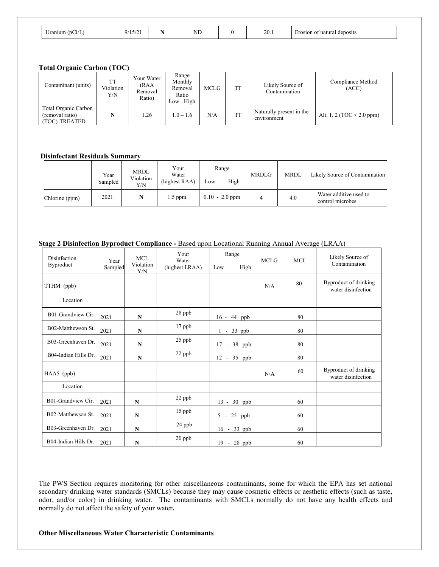| $\sim$<br>∪ranıum | $-1$<br>ч/<br>1/1 J/2 1 | $\mathbf{v}$<br>NL<br>- -- | $\Omega$<br>20.1 | natural deposits<br>osion of |
|-------------------|-------------------------|----------------------------|------------------|------------------------------|
|                   |                         |                            |                  |                              |

### **Total Organic Carbon (TOC)**

| Contaminant (units)                                      | <b>TT</b><br>Violation<br>Y/N | Your Water<br>(RAA<br>Removal<br>Ratio) | Range<br>Monthly<br>Removal<br>Ratio<br>Low - High | MCLG | <b>TT</b> | Likely Source of<br>Contamination       | Compliance Method<br>(ACC)     |
|----------------------------------------------------------|-------------------------------|-----------------------------------------|----------------------------------------------------|------|-----------|-----------------------------------------|--------------------------------|
| Total Organic Carbon<br>(removal ratio)<br>(TOC)-TREATED |                               | 1.26                                    | $1.0 - 1.6$                                        | N/A  | <b>TT</b> | Naturally present in the<br>environment | Alt. 1, 2 (TOC $\leq$ 2.0 ppm) |

## **Disinfectant Residuals Summary**

|                | Year<br>Sampled | <b>MRDL</b><br>Violation<br>Y/N | Your<br>Water<br>(highest RAA) | Range<br>High<br>Low | <b>MRDLG</b> | <b>MRDL</b> | Likely Source of Contamination             |
|----------------|-----------------|---------------------------------|--------------------------------|----------------------|--------------|-------------|--------------------------------------------|
| Chlorine (ppm) | 2021            |                                 | $1.5$ ppm                      | $0.10 - 2.0$ ppm     | 4            | 4.0         | Water additive used to<br>control microbes |

### **Stage 2 Disinfection Byproduct Compliance -** Based upon Locational Running Annual Average (LRAA)

| Disinfection<br>Byproduct | Year<br>Sampled | MCL<br>Violation<br>Y/N | Your<br>Water<br>(highest LRAA) | Range<br>High<br>Low      | <b>MCLG</b> | <b>MCL</b> | Likely Source of<br>Contamination           |
|---------------------------|-----------------|-------------------------|---------------------------------|---------------------------|-------------|------------|---------------------------------------------|
| TTHM (ppb)                |                 |                         |                                 |                           | N/A         | 80         | Byproduct of drinking<br>water disinfection |
| Location                  |                 |                         |                                 |                           |             |            |                                             |
| B01-Grandview Cir.        | 2021            | N                       | 28 ppb                          | 16 - 44 ppb               |             | 80         |                                             |
| B02-Matthewson St.        | 2021            | ${\bf N}$               | 17 ppb                          | $-33$ ppb<br>$\mathbf{1}$ |             | 80         |                                             |
| B03-Greenhaven Dr.        | 2021            | N                       | 25 ppb                          | 17 - 38 ppb               |             | 80         |                                             |
| B04-Indian Hills Dr.      | 2021            | $\mathbf N$             | 22 ppb                          | 12 - 35 ppb               |             | 80         |                                             |
| HAA5 (ppb)                |                 |                         |                                 |                           | N/A         | 60         | Byproduct of drinking<br>water disinfection |
| Location                  |                 |                         |                                 |                           |             |            |                                             |
| B01-Grandview Cir.        | 2021            | N                       | 22 ppb                          | 13 - 30 ppb               |             | 60         |                                             |
| B02-Matthewson St.        | 2021            | N                       | 15 ppb                          | 5 - 25 ppb                |             | 60         |                                             |
| B03-Greenhaven Dr.        | 2021            | N                       | 24 ppb                          | $-33$ ppb<br>16           |             | 60         |                                             |
| B04-Indian Hills Dr.      | 2021            | N                       | 20 ppb                          | 19 - 28 ppb               |             | 60         |                                             |

The PWS Section requires monitoring for other miscellaneous contaminants, some for which the EPA has set national secondary drinking water standards (SMCLs) because they may cause cosmetic effects or aesthetic effects (such as taste, odor, and/or color) in drinking water. The contaminants with SMCLs normally do not have any health effects and normally do not affect the safety of your water**.**

## **Other Miscellaneous Water Characteristic Contaminants**